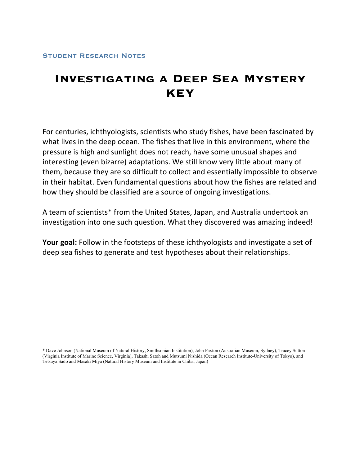# **Investigating a Deep Sea Mystery KEY**

For
centuries,
ichthyologists,
scientists
who
study
fishes, have
been
fascinated
by what lives in the deep ocean. The fishes that live in this environment, where the pressure
is
high
and
sunlight
does
not
reach,
have
some
unusual
shapes
and interesting (even
bizarre) adaptations.
We
still
know
very
little
about
many of them, because
they
are
so
difficult
to
collect
and
essentially
impossible
to
observe in
their
habitat.
Even
fundamental
questions
about
how
the
fishes are
related
and how
they
should
be
classified
are
a
source
of ongoing
investigations.

A
team
of
scientists\*
from
the
United
States,
Japan,
and
Australia
undertook
an investigation into one such question. What they discovered was amazing indeed!

Your goal: Follow in the footsteps of these ichthyologists and investigate a set of deep
sea
fishes to
generate
and
test
hypotheses
about
their
relationships.

\* Dave Johnson (National Museum of Natural History, Smithsonian Institution), John Paxton (Australian Museum, Sydney), Tracey Sutton (Virginia Institute of Marine Science, Virginia), Takashi Satoh and Mutsumi Nishida (Ocean Research Institute-University of Tokyo), and Tetsuya Sado and Masaki Miya (Natural History Museum and Institute in Chiba, Japan)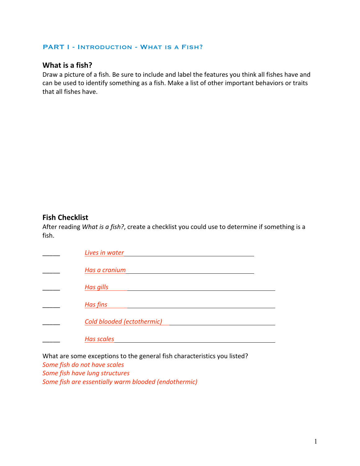#### PART I - INTRODUCTION - WHAT IS A FISH?

# **What
is
a
fish?**

Draw a picture of a fish. Be sure to include and label the features you think all fishes have and can
be
used
to
identify
something
as
a
fish.
Make
a
list
of
other
important
behaviors
or
traits that
all
fishes
have.

### **Fish
Checklist**

After reading What is a fish?, create a checklist you could use to determine if something is a fish.

| Lives in water             |
|----------------------------|
| Has a cranium              |
| <b>Has gills</b>           |
| <b>Has fins</b>            |
| Cold blooded (ectothermic) |
| <b>Has scales</b>          |

What are some exceptions to the general fish characteristics you listed?

*Some
fish
do
not
have
scales Some
fish
have
lung
structures Some
fish
are
essentially
warm
blooded
(endothermic)*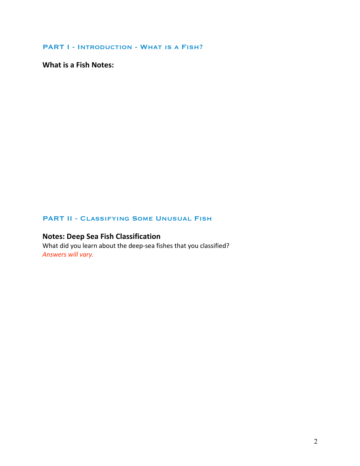PART I - INTRODUCTION - WHAT IS A FISH?

**What
is
a
Fish
Notes:**

### PART II - CLASSIFYING SOME UNUSUAL FISH

# **Notes:
Deep
Sea
Fish
Classification**

What did you learn about the deep-sea fishes that you classified? *Answers
will
vary.*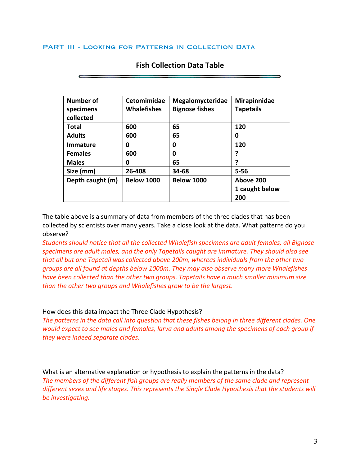#### PART III - Looking for Patterns in Collection Data

| Number of        | Cetomimidae        | Megalomycteridae      | Mirapinnidae     |
|------------------|--------------------|-----------------------|------------------|
| specimens        | <b>Whalefishes</b> | <b>Bignose fishes</b> | <b>Tapetails</b> |
| collected        |                    |                       |                  |
| Total            | 600                | 65                    | 120              |
| <b>Adults</b>    | 600                | 65                    | 0                |
| <b>Immature</b>  | 0                  | 0                     | 120              |
| <b>Females</b>   | 600                | 0                     | 7                |
| <b>Males</b>     | 0                  | 65                    | 7                |
| Size (mm)        | 26-408             | 34-68                 | $5 - 56$         |
| Depth caught (m) | <b>Below 1000</b>  | <b>Below 1000</b>     | Above 200        |
|                  |                    |                       | 1 caught below   |
|                  |                    |                       | 200              |

### **Fish
Collection
Data
Table**

The table above is a summary of data from members of the three clades that has been collected
by
scientists
over
many
years.
Take
a
close
look
at
the
data.
What
patterns
do
you observe?

*Students
should
notice
that
all
the
collected Whalefish specimens are
adult
females,
all Bignose specimens are
adult
males,
and
the
only
Tapetails
caught
are
immature. They
should
also
see that
all
but
one Tapetail was
collected
above
200m,
whereas
individuals
from
the
other
two groups
are
all
found
at
depths
below
1000m.
They
may
also
observe
many
more
Whalefishes have
been
collected than the
other
two
groups.
Tapetails
have
a much
smaller
minimum size than
the
other
two
groups and Whalefishes
grow
to
be
the
largest.*

#### How
does
this
data
impact
the
Three
Clade
Hypothesis?

The patterns in the data call into question that these fishes belong in three different clades. One would expect to see males and females, larva and adults among the specimens of each group if *they
were
indeed
separate
clades.*

What is an alternative explanation or hypothesis to explain the patterns in the data? The members of the different fish groups are really members of the same clade and represent different sexes and life stages. This represents the Single Clade Hypothesis that the students will *be
investigating.*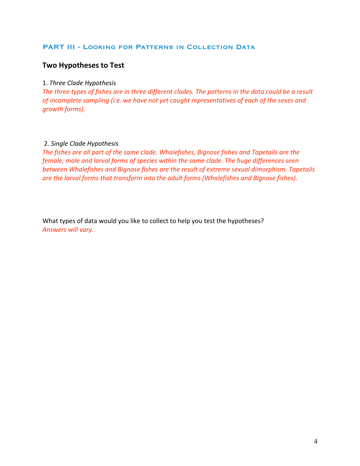### PART III - Looking for Patterns in Collection Data

# **Two
Hypotheses
to
Test**

#### 1. *Three
Clade
Hypothesis*

The three types of fishes are in three different clades. The patterns in the data could be a result of incomplete sampling (i.e. we have not yet caught representatives of each of the sexes and *growth
forms).*

#### 2. *Single
Clade
Hypothesis*

The fishes are all part of the same clade. Whalefishes, Bignose fishes and Tapetails are the female, male and larval forms of species within the same clade. The huge differences seen *between
Whalefishes and
Bignose
fishes are
the
result
of
extreme
sexual
dimorphism.
Tapetails*  are the larval forms that transform into the adult forms (Whalefishes and Bignose fishes).

What types of data would you like to collect to help you test the hypotheses? *Answers
will
vary.*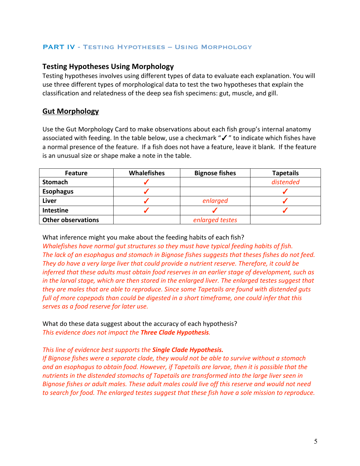### PART IV - Testing Hypotheses – Using Morphology

### **Testing
Hypotheses
Using
Morphology**

Testing hypotheses involves using different types of data to evaluate each explanation. You will use
three
different
types
of
morphological
data
to
test
the
two
hypotheses
that
explain
the classification
and
relatedness
of
the
deep
sea
fish
specimens:
gut,
muscle,
and
gill.

# **Gut
Morphology**

Use the Gut Morphology Card to make observations about each fish group's internal anatomy associated with feeding. In the table below, use a checkmark "√" to indicate which fishes have a normal presence of the feature. If a fish does not have a feature, leave it blank. If the feature is
an
unusual
size
or
shape
make
a
note
in
the
table.

| <b>Feature</b>            | <b>Whalefishes</b> | <b>Bignose fishes</b> | <b>Tapetails</b> |
|---------------------------|--------------------|-----------------------|------------------|
| <b>Stomach</b>            |                    |                       | distended        |
| <b>Esophagus</b>          |                    |                       |                  |
| Liver                     |                    | enlarged              |                  |
| Intestine                 |                    |                       |                  |
| <b>Other observations</b> |                    | enlarged testes       |                  |

What inference might you make about the feeding habits of each fish?

Whalefishes have normal gut structures so they must have typical feeding habits of fish. *The
lack
of
an
esophagus
and
stomach in
Bignose
fishes
suggests
that
theses
fishes do
not
feed.*  They do have a very large liver that could provide a nutrient reserve. Therefore, it could be inferred that these adults must obtain food reserves in an earlier stage of development, such as in the larval stage, which are then stored in the enlarged liver. The enlarged testes suggest that they are males that are able to reproduce. Since some Tapetails are found with distended guts full of more copepods than could be digested in a short timeframe, one could infer that this *serves
as
a
food
reserve
for
later
use.* 

What do these data suggest about the accuracy of each hypothesis? *This
evidence
does
not
impact
the Three
Clade
Hypothesis.* 

### *This
line
of
evidence
best
supports
the Single
Clade
Hypothesis.*

*If
Bignose
fishes
were
a
separate
clade,
they
would
not
be
able
to
survive
without
a
stomach* and an esophagus to obtain food. However, if Tapetails are larvae, then it is possible that the nutrients in the distended stomachs of Tapetails are transformed into the large liver seen in *Bignose
fishes
or
adult
males.
These
adult
males
could
live
off
this
reserve
and
would
not
need*  to search for food. The enlarged testes suggest that these fish have a sole mission to reproduce.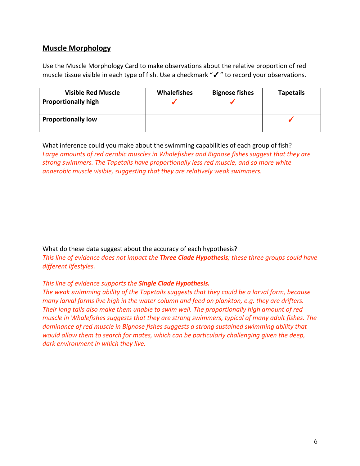# **Muscle
Morphology**

Use the Muscle Morphology Card to make observations about the relative proportion of red muscle tissue visible in each type of fish. Use a checkmark "√" to record your observations.

| <b>Visible Red Muscle</b>  | <b>Whalefishes</b> | <b>Bignose fishes</b> | <b>Tapetails</b> |
|----------------------------|--------------------|-----------------------|------------------|
| <b>Proportionally high</b> |                    |                       |                  |
| <b>Proportionally low</b>  |                    |                       |                  |

What inference could you make about the swimming capabilities of each group of fish? Large amounts of red aerobic muscles in Whalefishes and Bignose fishes suggest that they are *strong
swimmers.
The
Tapetails
have
proportionally
less
red
muscle,
and
so
more
white*  anaerobic muscle visible, suggesting that they are relatively weak swimmers.

What
do
these
data
suggest
about
the accuracy
of
each
hypothesis? This line of evidence does not impact the **Three Clade Hypothesis**; these three groups could have *different
lifestyles.*

### *This
line
of
evidence
supports
the Single
Clade
Hypothesis.*

The weak swimming ability of the Tapetails suggests that they could be a larval form, because many larval forms live high in the water column and feed on plankton, e.g. they are drifters. Their long tails also make them unable to swim well. The proportionally high amount of red muscle in Whalefishes suggests that they are strong swimmers, typical of many adult fishes. The dominance of red muscle in Bignose fishes suggests a strong sustained swimming ability that would allow them to search for mates, which can be particularly challenging given the deep, *dark
environment
in
which
they
live.*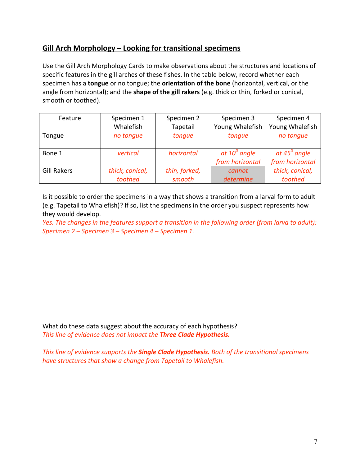# **Gill Arch Morphology
– Looking
for
transitional
specimens**

Use the Gill Arch Morphology Cards to make observations about the structures and locations of specific features in the gill arches of these fishes. In the table below, record whether each specimen has a **tongue** or no tongue; the **orientation of the bone** (horizontal, vertical, or the angle from horizontal); and the **shape of the gill rakers** (e.g. thick or thin, forked or conical, smooth
or
toothed).

| Feature            | Specimen 1      | Specimen 2    | Specimen 3      | Specimen 4            |
|--------------------|-----------------|---------------|-----------------|-----------------------|
|                    | Whalefish       | Tapetail      | Young Whalefish | Young Whalefish       |
| Tongue             | no tonque       | tonque        | tonque          | no tonque             |
|                    |                 |               |                 |                       |
| Bone 1             | vertical        | horizontal    | at $10^0$ angle | at $45^{\circ}$ angle |
|                    |                 |               | from horizontal | from horizontal       |
| <b>Gill Rakers</b> | thick, conical, | thin, forked, | cannot          | thick, conical,       |
|                    | toothed         | smooth        | determine       | toothed               |

Is it possible to order the specimens in a way that shows a transition from a larval form to adult (e.g.
Tapetail
to
Whalefish)?
If
so,
list
the
specimens
in
the
order you
suspect
represents
how they
would
develop.

Yes. The changes in the features support a transition in the following order (from larva to adult): *Specimen
2
– Specimen
3
– Specimen
4
– Specimen
1.*

What do these data suggest about the accuracy of each hypothesis? *This
line
of
evidence
does
not
impact
the Three
Clade
Hypothesis.*

*This
line
of
evidence
supports
the Single
Clade Hypothesis. Both
of
the
transitional
specimens have
structures
that
show
a
change
from
Tapetail to
Whalefish.*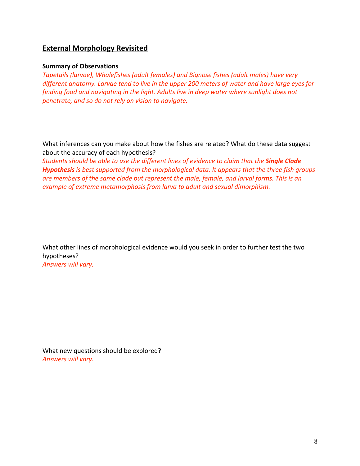# **External
Morphology
Revisited**

#### **Summary
of
Observations**

*Tapetails
(larvae),
Whalefishes (adult
females)
and
Bignose
fishes
(adult
males)
have
very*  different anatomy. Larvae tend to live in the upper 200 meters of water and have large eyes for finding food and navigating in the light. Adults live in deep water where sunlight does not *penetrate,
and
so
do
not
rely
on
vision
to
navigate.*

What inferences can you make about how the fishes are related? What do these data suggest about
the accuracy
of
each
hypothesis?

Students should be able to use the different lines of evidence to claim that the **Single Clade** Hypothesis is best supported from the morphological data. It appears that the three fish groups are members of the same clade but represent the male, female, and larval forms. This is an example of extreme metamorphosis from larva to adult and sexual dimorphism.

What other lines of morphological evidence would you seek in order to further test the two hypotheses? *Answers
will
vary.*

What
new
questions
should
be
explored? *Answers
will
vary.*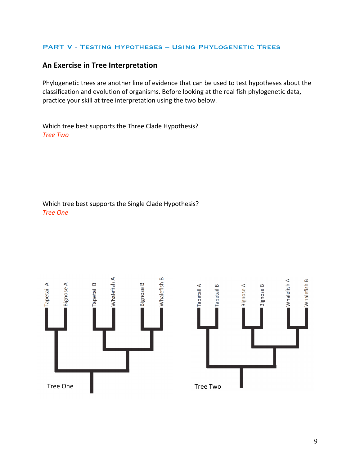### PART V - Testing Hypotheses – Using Phylogenetic Trees

# **An
Exercise
in
Tree
Interpretation**

Phylogenetic trees are another line of evidence that can be used to test hypotheses about the classification
and
evolution
of
organisms.
Before
looking
at
the
real
fish
phylogenetic
data, practice
your
skill
at
tree
interpretation
using
the
two
below.

Which
tree
best
supports
the
Three
Clade
Hypothesis? *Tree
Two*

Which
tree
best
supports
the
Single
Clade
Hypothesis? *Tree
One*

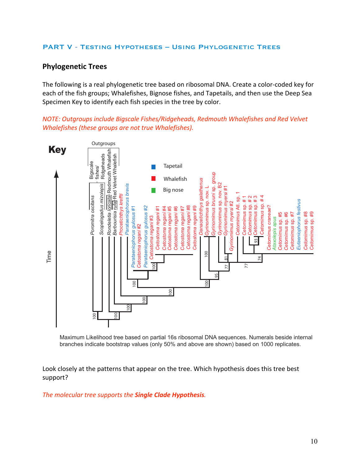### PART V - Testing Hypotheses – Using Phylogenetic Trees

# **Phylogenetic
Trees**

The
following
is
a
real
phylogenetic
tree
based
on
ribosomal
DNA.
Create
a
color‐coded
key
for each of the fish groups; Whalefishes, Bignose fishes, and Tapetails, and then use the Deep Sea Specimen Key to identify each fish species in the tree by color.

*NOTE:
Outgroups
include
Bigscale
Fishes/Ridgeheads,
Redmouth
Whalefishes and
Red
Velvet Whalefishes
(these
groups
are
not
true
Whalefishes).*



Maximum Likelihood tree based on partial 16s ribosomal DNA sequences. Numerals beside internal branches indicate bootstrap values (only 50% and above are shown) based on 1000 replicates.

Look closely at the patterns that appear on the tree. Which hypothesis does this tree best support?